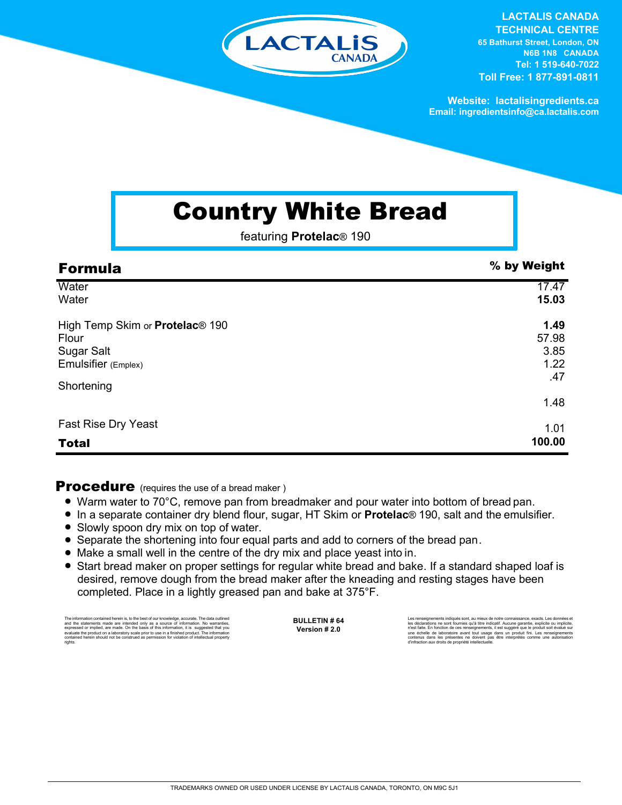

**LACTALIS CANADA TECHNICAL CENTRE 65 Bathurst Street, London, ON N6B 1N8 CANADA Tel: 1 519-640-7022 Toll Free: 1 877-891-0811**

**Website: lactalisingredients.ca Email: ingredientsinfo@ca.lactalis.com**

## Country White Bread

featuring **Protelac**® 190

| <b>Formula</b>                              | % by Weight |
|---------------------------------------------|-------------|
| Water                                       | 17.47       |
| Water                                       | 15.03       |
| High Temp Skim or Protelac <sup>®</sup> 190 | 1.49        |
| Flour                                       | 57.98       |
| <b>Sugar Salt</b>                           | 3.85        |
| Emulsifier (Emplex)                         | 1.22        |
|                                             | .47         |
| Shortening                                  |             |
|                                             | 1.48        |
| <b>Fast Rise Dry Yeast</b>                  | 1.01        |
| <b>Total</b>                                | 100.00      |

**Procedure** (requires the use of a bread maker)

- Warm water to 70°C, remove pan from breadmaker and pour water into bottom of bread pan.
- = In a separate container dry blend flour, sugar, HT Skim or **Protelac**® 190, salt and the emulsifier.
- Slowly spoon dry mix on top of water.
- Separate the shortening into four equal parts and add to corners of the bread pan.
- Make a small well in the centre of the dry mix and place yeast into in.
- Start bread maker on proper settings for regular white bread and bake. If a standard shaped loaf is desired, remove dough from the bread maker after the kneading and resting stages have been completed. Place in a lightly greased pan and bake at 375°F.

The information contained herein is, to the best of our knowledge, accurate. The data outlined and the statements made are intended only as a source of information. No warranties,<br>expressed or implied, are made. On the basis of this information, it is suggested that you<br>evaluate the product on a laboratory scale pri **BULLETIN # 64 Version # 2.0**

Les renseignements indiqués sont, au mieux de notre connaissance, exacts. Les données et les déclarations ne sont fournies qu'à titre indicatif. Aucune garantie, explicite ou implicite,<br>rivest faite. En fonction de ces renseignements, il est suggéré que le produit soit évalué sur<br>une échelle de laboratoire ava